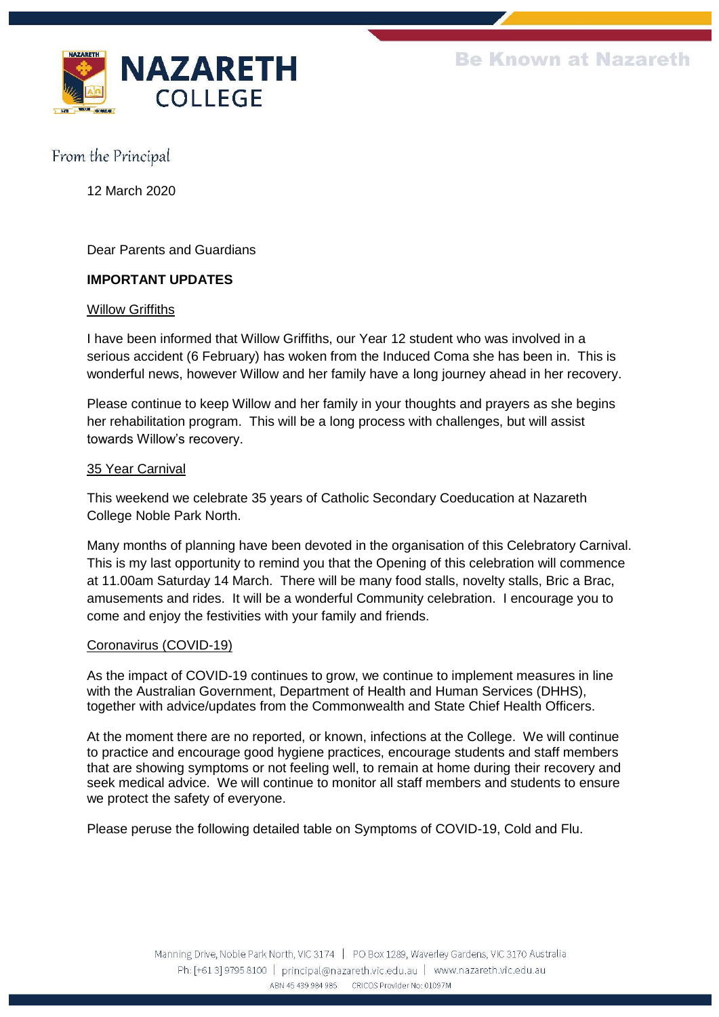

12 March 2020

Dear Parents and Guardians

## **IMPORTANT UPDATES**

#### **Willow Griffiths**

I have been informed that Willow Griffiths, our Year 12 student who was involved in a serious accident (6 February) has woken from the Induced Coma she has been in. This is wonderful news, however Willow and her family have a long journey ahead in her recovery.

Please continue to keep Willow and her family in your thoughts and prayers as she begins her rehabilitation program. This will be a long process with challenges, but will assist towards Willow's recovery.

#### 35 Year Carnival

This weekend we celebrate 35 years of Catholic Secondary Coeducation at Nazareth College Noble Park North.

Many months of planning have been devoted in the organisation of this Celebratory Carnival. This is my last opportunity to remind you that the Opening of this celebration will commence at 11.00am Saturday 14 March. There will be many food stalls, novelty stalls, Bric a Brac, amusements and rides. It will be a wonderful Community celebration. I encourage you to come and enjoy the festivities with your family and friends.

### Coronavirus (COVID-19)

As the impact of COVID-19 continues to grow, we continue to implement measures in line with the Australian Government, Department of Health and Human Services (DHHS), together with advice/updates from the Commonwealth and State Chief Health Officers.

At the moment there are no reported, or known, infections at the College. We will continue to practice and encourage good hygiene practices, encourage students and staff members that are showing symptoms or not feeling well, to remain at home during their recovery and seek medical advice. We will continue to monitor all staff members and students to ensure we protect the safety of everyone.

Please peruse the following detailed table on Symptoms of COVID-19, Cold and Flu.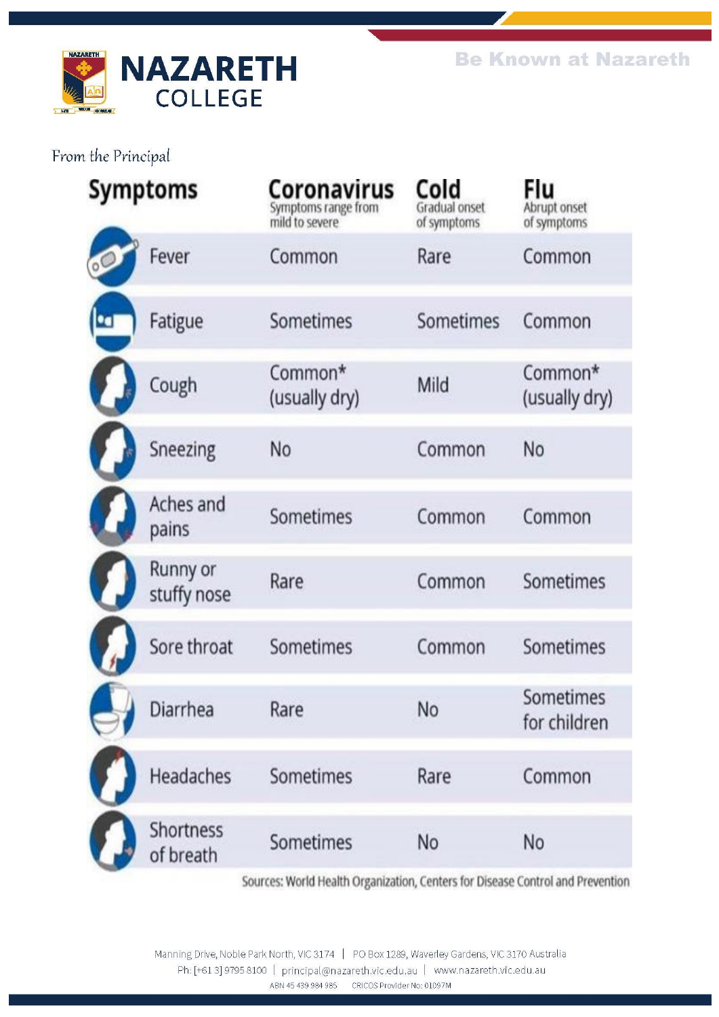

| Symptoms                      | Coronavirus<br>Symptoms range from<br>mild to severe | Cold<br>Gradual onset<br>of symptoms | Flu<br>Abrupt onset<br>of symptoms |
|-------------------------------|------------------------------------------------------|--------------------------------------|------------------------------------|
| Fever                         | Common                                               | Rare                                 | Common                             |
| Fatigue                       | Sometimes                                            | Sometimes                            | Common                             |
| Cough                         | Common*<br>(usually dry)                             | Mild                                 | Common*<br>(usually dry)           |
| Sneezing                      | No                                                   | Common                               | No                                 |
| Aches and<br>pains            | Sometimes                                            | Common                               | Common                             |
| Runny or<br>stuffy nose       | Rare                                                 | Common                               | Sometimes                          |
| Sore throat                   | Sometimes                                            | Common                               | Sometimes                          |
| Diarrhea                      | Rare                                                 | No                                   | Sometimes<br>for children          |
| Headaches                     | Sometimes                                            | Rare                                 | Common                             |
| <b>Shortness</b><br>of breath | Sometimes                                            | No                                   | No                                 |
|                               |                                                      |                                      |                                    |

Sources: World Health Organization, Centers for Disease Control and Prevention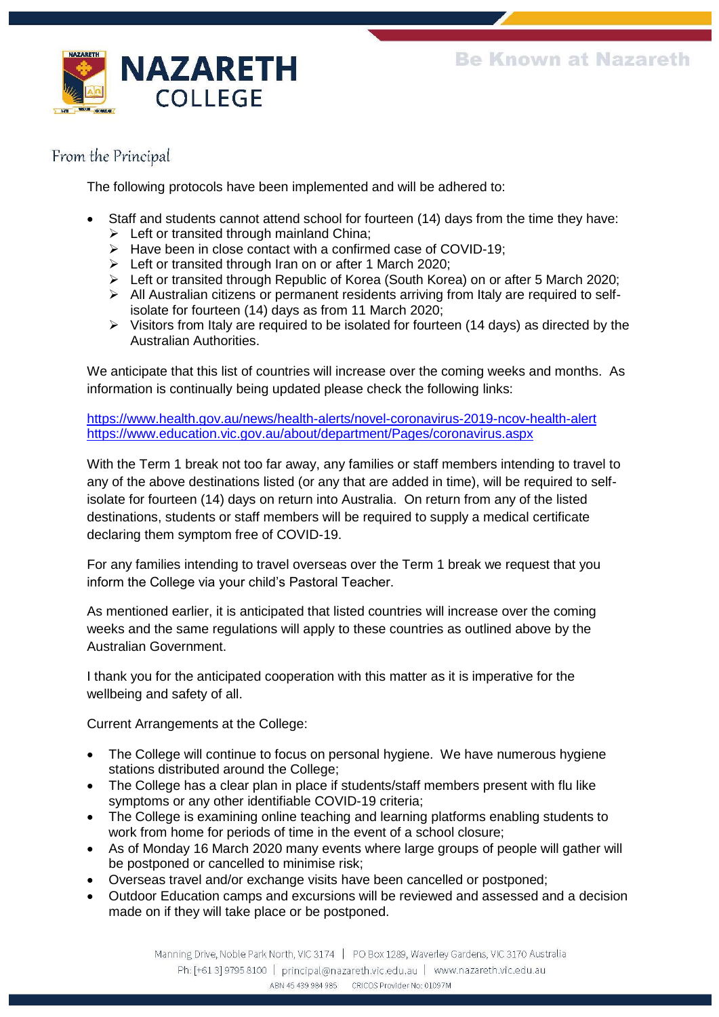

The following protocols have been implemented and will be adhered to:

- Staff and students cannot attend school for fourteen (14) days from the time they have:
	- $\triangleright$  Left or transited through mainland China:
	- ➢ Have been in close contact with a confirmed case of COVID-19;
	- ➢ Left or transited through Iran on or after 1 March 2020;
	- ➢ Left or transited through Republic of Korea (South Korea) on or after 5 March 2020;
	- $\triangleright$  All Australian citizens or permanent residents arriving from Italy are required to selfisolate for fourteen (14) days as from 11 March 2020;
	- ➢ Visitors from Italy are required to be isolated for fourteen (14 days) as directed by the Australian Authorities.

We anticipate that this list of countries will increase over the coming weeks and months. As information is continually being updated please check the following links:

<https://www.health.gov.au/news/health-alerts/novel-coronavirus-2019-ncov-health-alert> <https://www.education.vic.gov.au/about/department/Pages/coronavirus.aspx>

With the Term 1 break not too far away, any families or staff members intending to travel to any of the above destinations listed (or any that are added in time), will be required to selfisolate for fourteen (14) days on return into Australia. On return from any of the listed destinations, students or staff members will be required to supply a medical certificate declaring them symptom free of COVID-19.

For any families intending to travel overseas over the Term 1 break we request that you inform the College via your child's Pastoral Teacher.

As mentioned earlier, it is anticipated that listed countries will increase over the coming weeks and the same regulations will apply to these countries as outlined above by the Australian Government.

I thank you for the anticipated cooperation with this matter as it is imperative for the wellbeing and safety of all.

Current Arrangements at the College:

- The College will continue to focus on personal hygiene. We have numerous hygiene stations distributed around the College;
- The College has a clear plan in place if students/staff members present with flu like symptoms or any other identifiable COVID-19 criteria;
- The College is examining online teaching and learning platforms enabling students to work from home for periods of time in the event of a school closure;
- As of Monday 16 March 2020 many events where large groups of people will gather will be postponed or cancelled to minimise risk;
- Overseas travel and/or exchange visits have been cancelled or postponed;
- Outdoor Education camps and excursions will be reviewed and assessed and a decision made on if they will take place or be postponed.